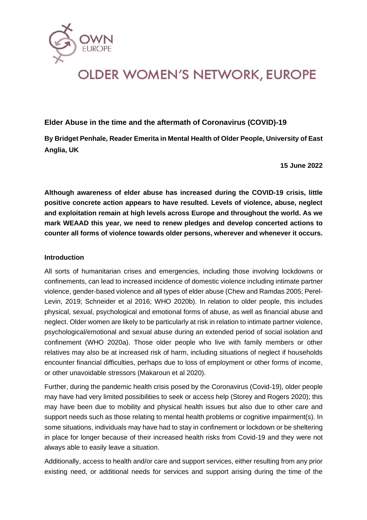

### **Elder Abuse in the time and the aftermath of Coronavirus (COVID)-19**

**By Bridget Penhale, Reader Emerita in Mental Health of Older People, University of East Anglia, UK**

**15 June 2022**

**Although awareness of elder abuse has increased during the COVID-19 crisis, little positive concrete action appears to have resulted. Levels of violence, abuse, neglect and exploitation remain at high levels across Europe and throughout the world. As we mark WEAAD this year, we need to renew pledges and develop concerted actions to counter all forms of violence towards older persons, wherever and whenever it occurs.**

#### **Introduction**

All sorts of humanitarian crises and emergencies, including those involving lockdowns or confinements, can lead to increased incidence of domestic violence including intimate partner violence, gender-based violence and all types of elder abuse (Chew and Ramdas 2005; Perel-Levin, 2019; Schneider et al 2016; WHO 2020b). In relation to older people, this includes physical, sexual, psychological and emotional forms of abuse, as well as financial abuse and neglect. Older women are likely to be particularly at risk in relation to intimate partner violence, psychological/emotional and sexual abuse during an extended period of social isolation and confinement (WHO 2020a). Those older people who live with family members or other relatives may also be at increased risk of harm, including situations of neglect if households encounter financial difficulties, perhaps due to loss of employment or other forms of income, or other unavoidable stressors (Makaroun et al 2020).

Further, during the pandemic health crisis posed by the Coronavirus (Covid-19), older people may have had very limited possibilities to seek or access help (Storey and Rogers 2020); this may have been due to mobility and physical health issues but also due to other care and support needs such as those relating to mental health problems or cognitive impairment(s). In some situations, individuals may have had to stay in confinement or lockdown or be sheltering in place for longer because of their increased health risks from Covid-19 and they were not always able to easily leave a situation.

Additionally, access to health and/or care and support services, either resulting from any prior existing need, or additional needs for services and support arising during the time of the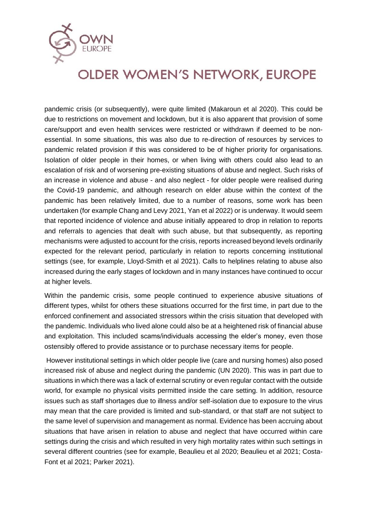

pandemic crisis (or subsequently), were quite limited (Makaroun et al 2020). This could be due to restrictions on movement and lockdown, but it is also apparent that provision of some care/support and even health services were restricted or withdrawn if deemed to be nonessential. In some situations, this was also due to re-direction of resources by services to pandemic related provision if this was considered to be of higher priority for organisations. Isolation of older people in their homes, or when living with others could also lead to an escalation of risk and of worsening pre-existing situations of abuse and neglect. Such risks of an increase in violence and abuse - and also neglect - for older people were realised during the Covid-19 pandemic, and although research on elder abuse within the context of the pandemic has been relatively limited, due to a number of reasons, some work has been undertaken (for example Chang and Levy 2021, Yan et al 2022) or is underway. It would seem that reported incidence of violence and abuse initially appeared to drop in relation to reports and referrals to agencies that dealt with such abuse, but that subsequently, as reporting mechanisms were adjusted to account for the crisis, reports increased beyond levels ordinarily expected for the relevant period, particularly in relation to reports concerning institutional settings (see, for example, Lloyd-Smith et al 2021). Calls to helplines relating to abuse also increased during the early stages of lockdown and in many instances have continued to occur at higher levels.

Within the pandemic crisis, some people continued to experience abusive situations of different types, whilst for others these situations occurred for the first time, in part due to the enforced confinement and associated stressors within the crisis situation that developed with the pandemic. Individuals who lived alone could also be at a heightened risk of financial abuse and exploitation. This included scams/individuals accessing the elder's money, even those ostensibly offered to provide assistance or to purchase necessary items for people.

However institutional settings in which older people live (care and nursing homes) also posed increased risk of abuse and neglect during the pandemic (UN 2020). This was in part due to situations in which there was a lack of external scrutiny or even regular contact with the outside world, for example no physical visits permitted inside the care setting. In addition, resource issues such as staff shortages due to illness and/or self-isolation due to exposure to the virus may mean that the care provided is limited and sub-standard, or that staff are not subject to the same level of supervision and management as normal. Evidence has been accruing about situations that have arisen in relation to abuse and neglect that have occurred within care settings during the crisis and which resulted in very high mortality rates within such settings in several different countries (see for example, Beaulieu et al 2020; Beaulieu et al 2021; Costa-Font et al 2021; Parker 2021).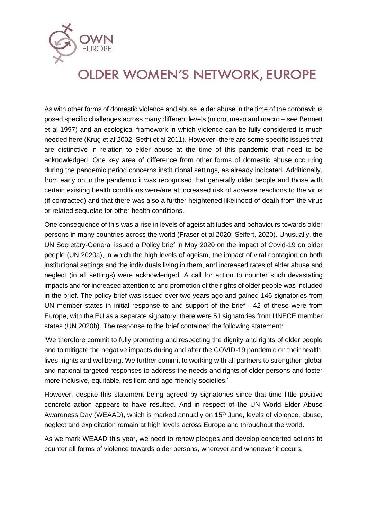

As with other forms of domestic violence and abuse, elder abuse in the time of the coronavirus posed specific challenges across many different levels (micro, meso and macro – see Bennett et al 1997) and an ecological framework in which violence can be fully considered is much needed here (Krug et al 2002; Sethi et al 2011). However, there are some specific issues that are distinctive in relation to elder abuse at the time of this pandemic that need to be acknowledged. One key area of difference from other forms of domestic abuse occurring during the pandemic period concerns institutional settings, as already indicated. Additionally, from early on in the pandemic it was recognised that generally older people and those with certain existing health conditions were/are at increased risk of adverse reactions to the virus (if contracted) and that there was also a further heightened likelihood of death from the virus or related sequelae for other health conditions.

One consequence of this was a rise in levels of ageist attitudes and behaviours towards older persons in many countries across the world (Fraser et al 2020; Seifert, 2020). Unusually, the UN Secretary-General issued a Policy brief in May 2020 on the impact of Covid-19 on older people (UN 2020a), in which the high levels of ageism, the impact of viral contagion on both institutional settings and the individuals living in them, and increased rates of elder abuse and neglect (in all settings) were acknowledged. A call for action to counter such devastating impacts and for increased attention to and promotion of the rights of older people was included in the brief. The policy brief was issued over two years ago and gained 146 signatories from UN member states in initial response to and support of the brief - 42 of these were from Europe, with the EU as a separate signatory; there were 51 signatories from UNECE member states (UN 2020b). The response to the brief contained the following statement:

'We therefore commit to fully promoting and respecting the dignity and rights of older people and to mitigate the negative impacts during and after the COVID-19 pandemic on their health, lives, rights and wellbeing. We further commit to working with all partners to strengthen global and national targeted responses to address the needs and rights of older persons and foster more inclusive, equitable, resilient and age-friendly societies.'

However, despite this statement being agreed by signatories since that time little positive concrete action appears to have resulted. And in respect of the UN World Elder Abuse Awareness Day (WEAAD), which is marked annually on 15<sup>th</sup> June, levels of violence, abuse, neglect and exploitation remain at high levels across Europe and throughout the world.

As we mark WEAAD this year, we need to renew pledges and develop concerted actions to counter all forms of violence towards older persons, wherever and whenever it occurs.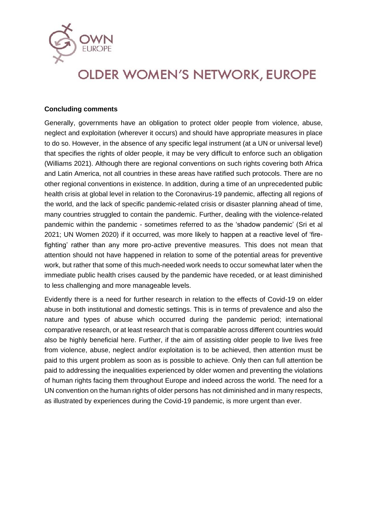

### **Concluding comments**

Generally, governments have an obligation to protect older people from violence, abuse, neglect and exploitation (wherever it occurs) and should have appropriate measures in place to do so. However, in the absence of any specific legal instrument (at a UN or universal level) that specifies the rights of older people, it may be very difficult to enforce such an obligation (Williams 2021). Although there are regional conventions on such rights covering both Africa and Latin America, not all countries in these areas have ratified such protocols. There are no other regional conventions in existence. In addition, during a time of an unprecedented public health crisis at global level in relation to the Coronavirus-19 pandemic, affecting all regions of the world, and the lack of specific pandemic-related crisis or disaster planning ahead of time, many countries struggled to contain the pandemic. Further, dealing with the violence-related pandemic within the pandemic - sometimes referred to as the 'shadow pandemic' (Sri et al 2021; UN Women 2020) if it occurred, was more likely to happen at a reactive level of 'firefighting' rather than any more pro-active preventive measures. This does not mean that attention should not have happened in relation to some of the potential areas for preventive work, but rather that some of this much-needed work needs to occur somewhat later when the immediate public health crises caused by the pandemic have receded, or at least diminished to less challenging and more manageable levels.

Evidently there is a need for further research in relation to the effects of Covid-19 on elder abuse in both institutional and domestic settings. This is in terms of prevalence and also the nature and types of abuse which occurred during the pandemic period; international comparative research, or at least research that is comparable across different countries would also be highly beneficial here. Further, if the aim of assisting older people to live lives free from violence, abuse, neglect and/or exploitation is to be achieved, then attention must be paid to this urgent problem as soon as is possible to achieve. Only then can full attention be paid to addressing the inequalities experienced by older women and preventing the violations of human rights facing them throughout Europe and indeed across the world. The need for a UN convention on the human rights of older persons has not diminished and in many respects, as illustrated by experiences during the Covid-19 pandemic, is more urgent than ever.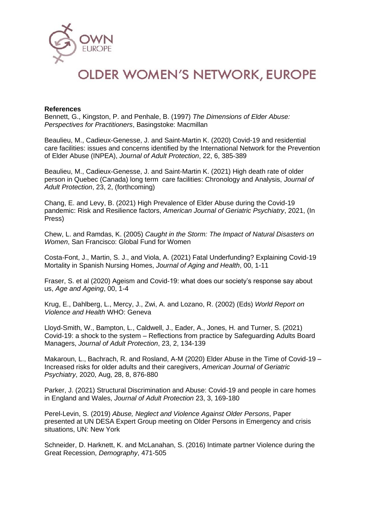

#### **References**

Bennett, G., Kingston, P. and Penhale, B. (1997) *The Dimensions of Elder Abuse: Perspectives for Practitioners*, Basingstoke: Macmillan

Beaulieu, M., Cadieux-Genesse, J. and Saint-Martin K. (2020) Covid-19 and residential care facilities: issues and concerns identified by the International Network for the Prevention of Elder Abuse (INPEA), *Journal of Adult Protection*, 22, 6, 385-389

Beaulieu, M., Cadieux-Genesse, J. and Saint-Martin K. (2021) High death rate of older person in Quebec (Canada) long term care facilities: Chronology and Analysis, *Journal of Adult Protection*, 23, 2, (forthcoming)

Chang, E. and Levy, B. (2021) High Prevalence of Elder Abuse during the Covid-19 pandemic: Risk and Resilience factors, *American Journal of Geriatric Psychiatry*, 2021, (In Press)

Chew, L. and Ramdas, K. (2005) *Caught in the Storm: The Impact of Natural Disasters on Women*, San Francisco: Global Fund for Women

Costa-Font, J., Martin, S. J., and Viola, A. (2021) Fatal Underfunding? Explaining Covid-19 Mortality in Spanish Nursing Homes, *Journal of Aging and Health*, 00, 1-11

Fraser, S. et al (2020) Ageism and Covid-19: what does our society's response say about us, *Age and Ageing*, 00, 1-4

Krug, E., Dahlberg, L., Mercy, J., Zwi, A. and Lozano, R. (2002) (Eds) *World Report on Violence and Health* WHO: Geneva

Lloyd-Smith, W., Bampton, L., Caldwell, J., Eader, A., Jones, H. and Turner, S. (2021) Covid-19: a shock to the system – Reflections from practice by Safeguarding Adults Board Managers, *Journal of Adult Protection*, 23, 2, 134-139

Makaroun, L., Bachrach, R. and Rosland, A-M (2020) Elder Abuse in the Time of Covid-19 – Increased risks for older adults and their caregivers, *American Journal of Geriatric Psychiatry*, 2020, Aug, 28, 8, 876-880

Parker, J. (2021) Structural Discrimination and Abuse: Covid-19 and people in care homes in England and Wales, *Journal of Adult Protection* 23, 3, 169-180

Perel-Levin, S. (2019) *Abuse, Neglect and Violence Against Older Persons*, Paper presented at UN DESA Expert Group meeting on Older Persons in Emergency and crisis situations, UN: New York

Schneider, D. Harknett, K. and McLanahan, S. (2016) Intimate partner Violence during the Great Recession, *Demography*, 471-505